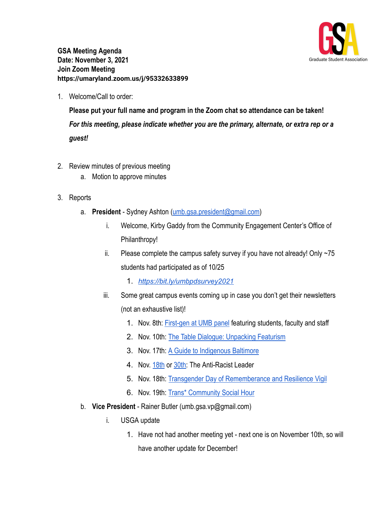

**GSA Meeting Agenda Date: November 3, 2021 Join Zoom Meeting https://umaryland.zoom.us/j/95332633899**

1. Welcome/Call to order:

**Please put your full name and program in the Zoom chat so attendance can be taken!** *For this meeting, please indicate whether you are the primary, alternate, or extra rep or a guest!*

- 2. Review minutes of previous meeting
	- a. Motion to approve minutes
- 3. Reports
	- a. **President** Sydney Ashton ([umb.gsa.president@gmail.com\)](mailto:umb.gsa.president@gmail.com)
		- i. Welcome, Kirby Gaddy from the Community Engagement Center's Office of Philanthropy!
		- ii. Please complete the campus safety survey if you have not already! Only  $\sim$ 75 students had participated as of 10/25
			- 1. *<https://bit.ly/umbpdsurvey2021>*
		- iii. Some great campus events coming up in case you don't get their newsletters (not an exhaustive list)!
			- 1. Nov. 8th: [First-gen at UMB panel](https://calendar.umaryland.edu/?subcategory=Campus%20Life%20ServicesIntercultural%20Center&view=fulltext&month=11&day=02&year=2021&id=d.en.548117×tamp=1636398000&) featuring students, faculty and staff
			- 2. Nov. 10th: [The Table Dialogue: Unpacking Featurism](https://calendar.umaryland.edu/?subcategory=Campus%20Life%20ServicesIntercultural%20Center&view=fulltext&month=11&day=02&year=2021&id=d.en.548117×tamp=1636398000&)
			- 3. Nov. 17th: [A Guide to Indigenous Baltimore](https://calendar.umaryland.edu/?subcategory=Campus%20Life%20ServicesIntercultural%20Center&view=fulltext&month=11&day=02&year=2021&id=d.en.549746×tamp=1637168400&)
			- 4. Nov. [18th](https://calendar.umaryland.edu/?subcategory=Campus%20Life%20ServicesIntercultural%20Center&view=fulltext&month=11&day=02&year=2021&id=d.en.548813×tamp=1637258400&) or [30th:](https://calendar.umaryland.edu/?subcategory=Campus%20Life%20ServicesIntercultural%20Center&view=fulltext&month=11&day=02&year=2021&id=d.en.548825×tamp=1638291600&) The Anti-Racist Leader
			- 5. Nov. 18th: [Transgender Day of Rememberance and Resilience](https://calendar.umaryland.edu/?subcategory=Campus%20Life%20ServicesIntercultural%20Center&view=fulltext&month=11&day=02&year=2021&id=d.en.549827×tamp=1637276400&) Vigil
			- 6. Nov. 19th: [Trans\\* Community Social Hour](https://calendar.umaryland.edu/?subcategory=Campus%20Life%20ServicesIntercultural%20Center&view=fulltext&month=11&day=02&year=2021&id=d.en.549744×tamp=1637341200&)
	- b. **Vice President** Rainer Butler (umb.gsa.vp@gmail.com)
		- i. USGA update
			- 1. Have not had another meeting yet next one is on November 10th, so will have another update for December!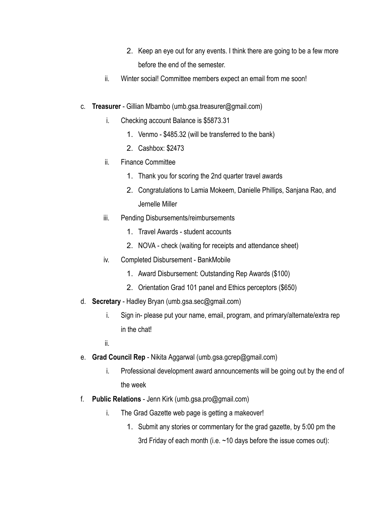- 2. Keep an eye out for any events. I think there are going to be a few more before the end of the semester.
- ii. Winter social! Committee members expect an email from me soon!
- c. **Treasurer** Gillian Mbambo (umb.gsa.treasurer@gmail.com)
	- i. Checking account Balance is \$5873.31
		- 1. Venmo \$485.32 (will be transferred to the bank)
		- 2. Cashbox: \$2473
	- ii. Finance Committee
		- 1. Thank you for scoring the 2nd quarter travel awards
		- 2. Congratulations to Lamia Mokeem, Danielle Phillips, Sanjana Rao, and Jernelle Miller
	- iii. Pending Disbursements/reimbursements
		- 1. Travel Awards student accounts
		- 2. NOVA check (waiting for receipts and attendance sheet)
	- iv. Completed Disbursement BankMobile
		- 1. Award Disbursement: Outstanding Rep Awards (\$100)
		- 2. Orientation Grad 101 panel and Ethics perceptors (\$650)
- d. **Secretary** Hadley Bryan (umb.gsa.sec@gmail.com)
	- i. Sign in- please put your name, email, program, and primary/alternate/extra rep in the chat!
	- ii.
- e. **Grad Council Rep** Nikita Aggarwal (umb.gsa.gcrep@gmail.com)
	- i. Professional development award announcements will be going out by the end of the week
- f. **Public Relations** Jenn Kirk (umb.gsa.pro@gmail.com)
	- i. The Grad Gazette web page is getting a makeover!
		- 1. Submit any stories or commentary for the grad gazette, by 5:00 pm the 3rd Friday of each month (i.e. ~10 days before the issue comes out):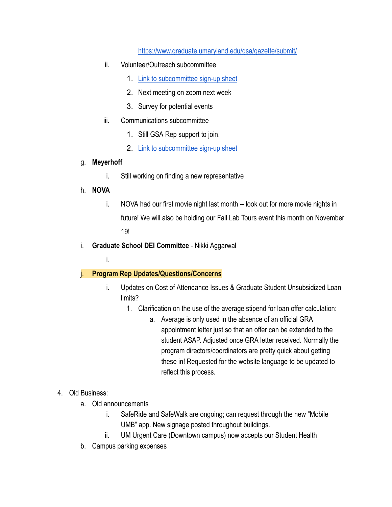<https://www.graduate.umaryland.edu/gsa/gazette/submit/>

- ii. Volunteer/Outreach subcommittee
	- 1. [Link to subcommittee sign-up sheet](https://docs.google.com/spreadsheets/d/1i0KLCGADcoN_xXXSZKCarf5cBUtkC6gA4Yb3Slvn7-0/edit#gid=1132758769)
	- 2. Next meeting on zoom next week
	- 3. Survey for potential events
- iii. Communications subcommittee
	- 1. Still GSA Rep support to join.
	- 2. [Link to subcommittee sign-up sheet](https://docs.google.com/spreadsheets/d/1i0KLCGADcoN_xXXSZKCarf5cBUtkC6gA4Yb3Slvn7-0/edit#gid=2013564926)

## g. **Meyerhoff**

i. Still working on finding a new representative

## h. **NOVA**

- i. NOVA had our first movie night last month -- look out for more movie nights in future! We will also be holding our Fall Lab Tours event this month on November 19!
- i. **Graduate School DEI Committee** Nikki Aggarwal
	- i.

## j. **Program Rep Updates/Questions/Concerns**

- i. Updates on Cost of Attendance Issues & Graduate Student Unsubsidized Loan limits?
	- 1. Clarification on the use of the average stipend for loan offer calculation:
		- a. Average is only used in the absence of an official GRA appointment letter just so that an offer can be extended to the student ASAP. Adjusted once GRA letter received. Normally the program directors/coordinators are pretty quick about getting these in! Requested for the website language to be updated to reflect this process.

## 4. Old Business:

- a. Old announcements
	- i. SafeRide and SafeWalk are ongoing; can request through the new "Mobile UMB" app. New signage posted throughout buildings.
	- ii. UM Urgent Care (Downtown campus) now accepts our Student Health
- b. Campus parking expenses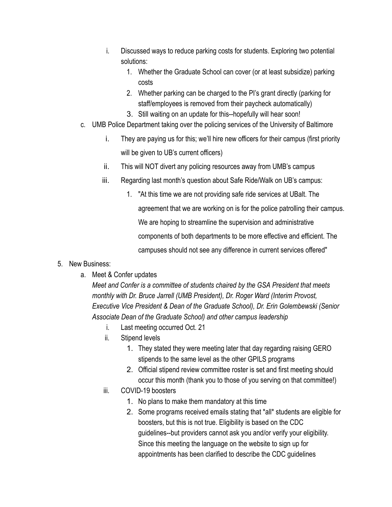- i. Discussed ways to reduce parking costs for students. Exploring two potential solutions:
	- 1. Whether the Graduate School can cover (or at least subsidize) parking costs
	- 2. Whether parking can be charged to the PI's grant directly (parking for staff/employees is removed from their paycheck automatically)
	- 3. Still waiting on an update for this--hopefully will hear soon!
- c. UMB Police Department taking over the policing services of the University of Baltimore
	- i. They are paying us for this; we'll hire new officers for their campus (first priority will be given to UB's current officers)
	- ii. This will NOT divert any policing resources away from UMB's campus
	- iii. Regarding last month's question about Safe Ride/Walk on UB's campus:
		- 1. "At this time we are not providing safe ride services at UBalt. The agreement that we are working on is for the police patrolling their campus. We are hoping to streamline the supervision and administrative components of both departments to be more effective and efficient. The campuses should not see any difference in current services offered"
- 5. New Business:
	- a. Meet & Confer updates

*Meet and Confer is a committee of students chaired by the GSA President that meets monthly with Dr. Bruce Jarrell (UMB President), Dr. Roger Ward (Interim Provost, Executive Vice President & Dean of the Graduate School), Dr. Erin Golembewski (Senior Associate Dean of the Graduate School) and other campus leadership*

- i. Last meeting occurred Oct. 21
- ii. Stipend levels
	- 1. They stated they were meeting later that day regarding raising GERO stipends to the same level as the other GPILS programs
	- 2. Official stipend review committee roster is set and first meeting should occur this month (thank you to those of you serving on that committee!)
- iii. COVID-19 boosters
	- 1. No plans to make them mandatory at this time
	- 2. Some programs received emails stating that \*all\* students are eligible for boosters, but this is not true. Eligibility is based on the CDC guidelines--but providers cannot ask you and/or verify your eligibility. Since this meeting the language on the website to sign up for appointments has been clarified to describe the CDC guidelines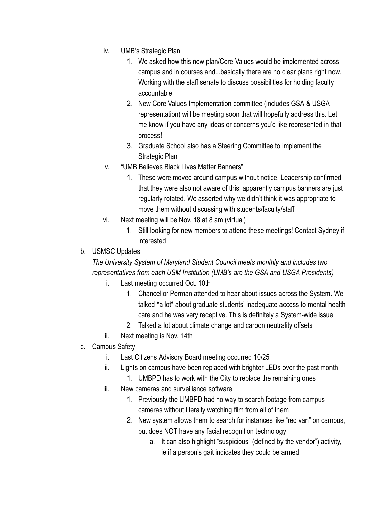- iv. UMB's Strategic Plan
	- 1. We asked how this new plan/Core Values would be implemented across campus and in courses and...basically there are no clear plans right now. Working with the staff senate to discuss possibilities for holding faculty accountable
	- 2. New Core Values Implementation committee (includes GSA & USGA representation) will be meeting soon that will hopefully address this. Let me know if you have any ideas or concerns you'd like represented in that process!
	- 3. Graduate School also has a Steering Committee to implement the Strategic Plan
- v. "UMB Believes Black Lives Matter Banners"
	- 1. These were moved around campus without notice. Leadership confirmed that they were also not aware of this; apparently campus banners are just regularly rotated. We asserted why we didn't think it was appropriate to move them without discussing with students/faculty/staff
- vi. Next meeting will be Nov. 18 at 8 am (virtual)
	- 1. Still looking for new members to attend these meetings! Contact Sydney if interested
- b. USMSC Updates

*The University System of Maryland Student Council meets monthly and includes two representatives from each USM Institution (UMB's are the GSA and USGA Presidents)*

- i. Last meeting occurred Oct. 10th
	- 1. Chancellor Perman attended to hear about issues across the System. We talked \*a lot\* about graduate students' inadequate access to mental health care and he was very receptive. This is definitely a System-wide issue
	- 2. Talked a lot about climate change and carbon neutrality offsets
- ii. Next meeting is Nov. 14th
- c. Campus Safety
	- i. Last Citizens Advisory Board meeting occurred 10/25
	- ii. Lights on campus have been replaced with brighter LEDs over the past month
		- 1. UMBPD has to work with the City to replace the remaining ones
	- iii. New cameras and surveillance software
		- 1. Previously the UMBPD had no way to search footage from campus cameras without literally watching film from all of them
		- 2. New system allows them to search for instances like "red van" on campus, but does NOT have any facial recognition technology
			- a. It can also highlight "suspicious" (defined by the vendor") activity, ie if a person's gait indicates they could be armed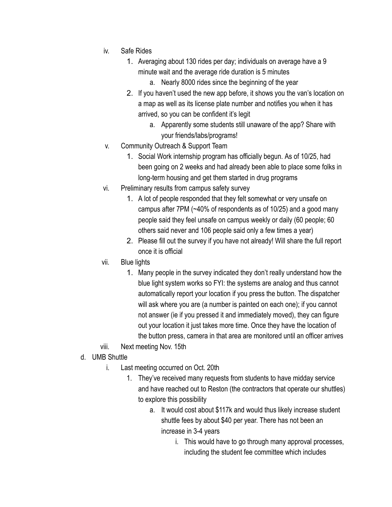- iv. Safe Rides
	- 1. Averaging about 130 rides per day; individuals on average have a 9 minute wait and the average ride duration is 5 minutes
		- a. Nearly 8000 rides since the beginning of the year
	- 2. If you haven't used the new app before, it shows you the van's location on a map as well as its license plate number and notifies you when it has arrived, so you can be confident it's legit
		- a. Apparently some students still unaware of the app? Share with your friends/labs/programs!
- v. Community Outreach & Support Team
	- 1. Social Work internship program has officially begun. As of 10/25, had been going on 2 weeks and had already been able to place some folks in long-term housing and get them started in drug programs
- vi. Preliminary results from campus safety survey
	- 1. A lot of people responded that they felt somewhat or very unsafe on campus after 7PM (~40% of respondents as of 10/25) and a good many people said they feel unsafe on campus weekly or daily (60 people; 60 others said never and 106 people said only a few times a year)
	- 2. Please fill out the survey if you have not already! Will share the full report once it is official
- vii. Blue lights
	- 1. Many people in the survey indicated they don't really understand how the blue light system works so FYI: the systems are analog and thus cannot automatically report your location if you press the button. The dispatcher will ask where you are (a number is painted on each one); if you cannot not answer (ie if you pressed it and immediately moved), they can figure out your location it just takes more time. Once they have the location of the button press, camera in that area are monitored until an officer arrives
- viii. Next meeting Nov. 15th
- d. UMB Shuttle
	- i. Last meeting occurred on Oct. 20th
		- 1. They've received many requests from students to have midday service and have reached out to Reston (the contractors that operate our shuttles) to explore this possibility
			- a. It would cost about \$117k and would thus likely increase student shuttle fees by about \$40 per year. There has not been an increase in 3-4 years
				- i. This would have to go through many approval processes, including the student fee committee which includes